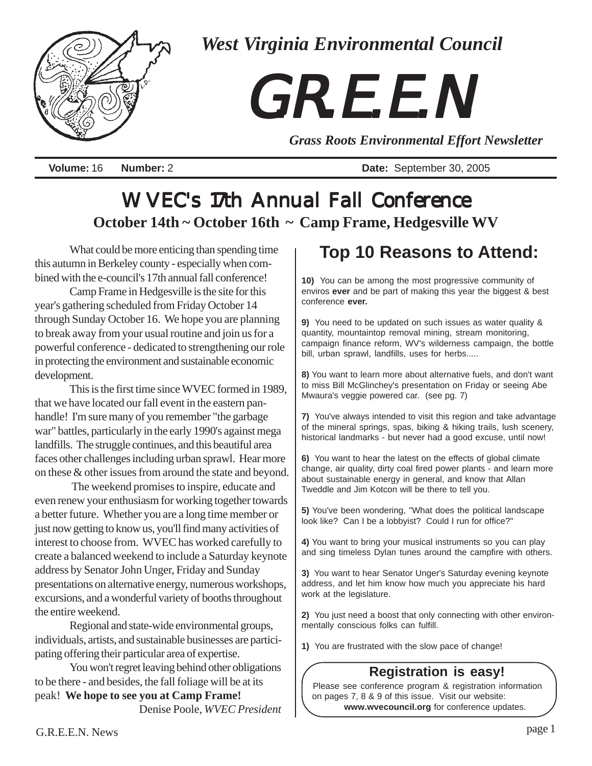

*West Virginia Environmental Council*

# *G. R. E. E. N. G. R. E. E. N. G. R. E. E. N.*

*Grass Roots Environmental Effort Newsletter*

**Volume:** 16 **Number:** 2 **Date:** September 30, 2005

# WVEC's 17th Annual Fall Conference **October 14th ~ October 16th ~ Camp Frame, Hedgesville WV**

What could be more enticing than spending time this autumn in Berkeley county - especially when combined with the e-council's 17th annual fall conference!

Camp Frame in Hedgesville is the site for this year's gathering scheduled from Friday October 14 through Sunday October 16. We hope you are planning to break away from your usual routine and join us for a powerful conference - dedicated to strengthening our role in protecting the environment and sustainable economic development.

This is the first time since WVEC formed in 1989, that we have located our fall event in the eastern panhandle! I'm sure many of you remember "the garbage war" battles, particularly in the early 1990's against mega landfills. The struggle continues, and this beautiful area faces other challenges including urban sprawl. Hear more on these & other issues from around the state and beyond.

 The weekend promises to inspire, educate and even renew your enthusiasm for working together towards a better future. Whether you are a long time member or just now getting to know us, you'll find many activities of interest to choose from. WVEC has worked carefully to create a balanced weekend to include a Saturday keynote address by Senator John Unger, Friday and Sunday presentations on alternative energy, numerous workshops, excursions, and a wonderful variety of booths throughout the entire weekend.

Regional and state-wide environmental groups, individuals, artists, and sustainable businesses are participating offering their particular area of expertise.

You won't regret leaving behind other obligations to be there - and besides, the fall foliage will be at its peak! **We hope to see you at Camp Frame!** Denise Poole, *WVEC President*

# **Top 10 Reasons to Attend:**

**10)** You can be among the most progressive community of enviros **ever** and be part of making this year the biggest & best conference **ever.**

**9)** You need to be updated on such issues as water quality & quantity, mountaintop removal mining, stream monitoring, campaign finance reform, WV's wilderness campaign, the bottle bill, urban sprawl, landfills, uses for herbs.....

**8)** You want to learn more about alternative fuels, and don't want to miss Bill McGlinchey's presentation on Friday or seeing Abe Mwaura's veggie powered car. (see pg. 7)

**7)** You've always intended to visit this region and take advantage of the mineral springs, spas, biking & hiking trails, lush scenery, historical landmarks - but never had a good excuse, until now!

**6)** You want to hear the latest on the effects of global climate change, air quality, dirty coal fired power plants - and learn more about sustainable energy in general, and know that Allan Tweddle and Jim Kotcon will be there to tell you.

**5)** You've been wondering, "What does the political landscape look like? Can I be a lobbyist? Could I run for office?"

**4)** You want to bring your musical instruments so you can play and sing timeless Dylan tunes around the campfire with others.

**3)** You want to hear Senator Unger's Saturday evening keynote address, and let him know how much you appreciate his hard work at the legislature.

**2)** You just need a boost that only connecting with other environmentally conscious folks can fulfill.

**1)** You are frustrated with the slow pace of change!

## **Registration is easy!**

 Please see conference program & registration information on pages 7, 8 & 9 of this issue. Visit our website: **www.wvecouncil.org** for conference updates.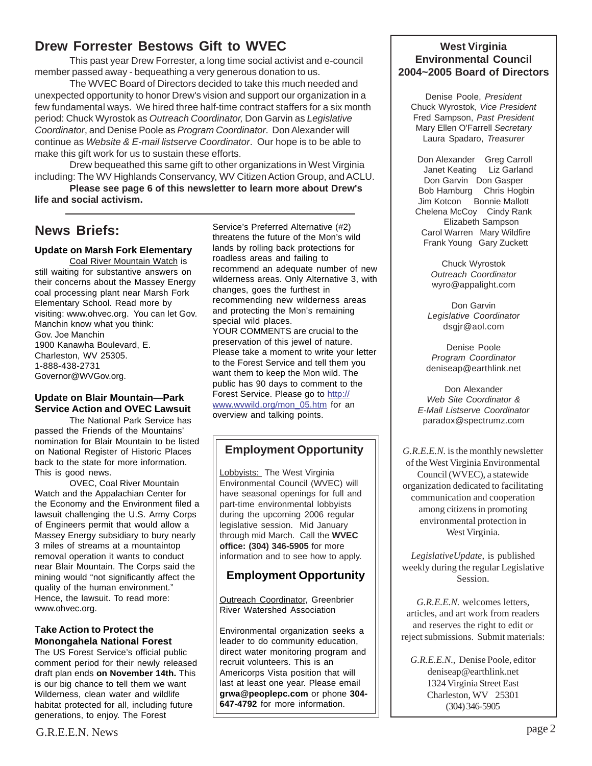## **Drew Forrester Bestows Gift to WVEC**

This past year Drew Forrester, a long time social activist and e-council member passed away - bequeathing a very generous donation to us.

The WVEC Board of Directors decided to take this much needed and unexpected opportunity to honor Drew's vision and support our organization in a few fundamental ways. We hired three half-time contract staffers for a six month period: Chuck Wyrostok as *Outreach Coordinator,* Don Garvin as *Legislative Coordinator*, and Denise Poole as *Program Coordinator*. Don Alexander will continue as *Website & E-mail listserve Coordinator*. Our hope is to be able to make this gift work for us to sustain these efforts.

Drew bequeathed this same gift to other organizations in West Virginia including: The WV Highlands Conservancy, WV Citizen Action Group, and ACLU.

**Please see page 6 of this newsletter to learn more about Drew's life and social activism.**

## **News Briefs:**

## **Update on Marsh Fork Elementary**

Coal River Mountain Watch is still waiting for substantive answers on their concerns about the Massey Energy coal processing plant near Marsh Fork Elementary School. Read more by visiting: www.ohvec.org. You can let Gov. Manchin know what you think: Gov. Joe Manchin 1900 Kanawha Boulevard, E. Charleston, WV 25305. 1-888-438-2731 Governor@WVGov.org.

## **Update on Blair Mountain—Park Service Action and OVEC Lawsuit**

The National Park Service has passed the Friends of the Mountains' nomination for Blair Mountain to be listed on National Register of Historic Places back to the state for more information. This is good news.

OVEC, Coal River Mountain Watch and the Appalachian Center for the Economy and the Environment filed a lawsuit challenging the U.S. Army Corps of Engineers permit that would allow a Massey Energy subsidiary to bury nearly 3 miles of streams at a mountaintop removal operation it wants to conduct near Blair Mountain. The Corps said the mining would "not significantly affect the quality of the human environment." Hence, the lawsuit. To read more: www.ohvec.org.

#### T**ake Action to Protect the Monongahela National Forest**

The US Forest Service's official public comment period for their newly released draft plan ends **on November 14th.** This is our big chance to tell them we want Wilderness, clean water and wildlife habitat protected for all, including future generations, to enjoy. The Forest

Service's Preferred Alternative (#2) threatens the future of the Mon's wild lands by rolling back protections for roadless areas and failing to recommend an adequate number of new wilderness areas. Only Alternative 3, with changes, goes the furthest in recommending new wilderness areas and protecting the Mon's remaining special wild places.

YOUR COMMENTS are crucial to the preservation of this jewel of nature. Please take a moment to write your letter to the Forest Service and tell them you want them to keep the Mon wild. The public has 90 days to comment to the Forest Service. Please go to http:// www.wvwild.org/mon\_05.htm for an overview and talking points.

## **Employment Opportunity**

Lobbyists: The West Virginia Environmental Council (WVEC) will have seasonal openings for full and part-time environmental lobbyists during the upcoming 2006 regular legislative session. Mid January through mid March. Call the **WVEC office: (304) 346-5905** for more information and to see how to apply.

## **Employment Opportunity**

Outreach Coordinator, Greenbrier River Watershed Association

Environmental organization seeks a leader to do community education, direct water monitoring program and recruit volunteers. This is an Americorps Vista position that will last at least one year. Please email **grwa@peoplepc.com** or phone **304- 647-4792** for more information.

## **West Virginia Environmental Council 2004~2005 Board of Directors**

Denise Poole, *President* Chuck Wyrostok, *Vice President* Fred Sampson, *Past President* Mary Ellen O'Farrell *Secretary* Laura Spadaro, *Treasurer*

 Don Alexander Greg Carroll Janet Keating Liz Garland Don Garvin Don Gasper Bob Hamburg Chris Hogbin Jim Kotcon Bonnie Mallott Chelena McCoy Cindy Rank Elizabeth Sampson Carol Warren Mary Wildfire Frank Young Gary Zuckett

> Chuck Wyrostok *Outreach Coordinator* wyro@appalight.com

Don Garvin *Legislative Coordinator* dsgjr@aol.com

Denise Poole *Program Coordinator* deniseap@earthlink.net

Don Alexander *Web Site Coordinator & E-Mail Listserve Coordinator* paradox@spectrumz.com

*G.R.E.E.N.* is the monthly newsletter of the West Virginia Environmental Council (WVEC), a statewide organization dedicated to facilitating communication and cooperation among citizens in promoting environmental protection in West Virginia.

*LegislativeUpdate*, is published weekly during the regular Legislative Session.

*G.R.E.E.N.* welcomes letters, articles, and art work from readers and reserves the right to edit or reject submissions. Submit materials:

*G.R.E.E.N*., Denise Poole, editor deniseap@earthlink.net 1324 Virginia Street East Charleston, WV 25301 (304) 346-5905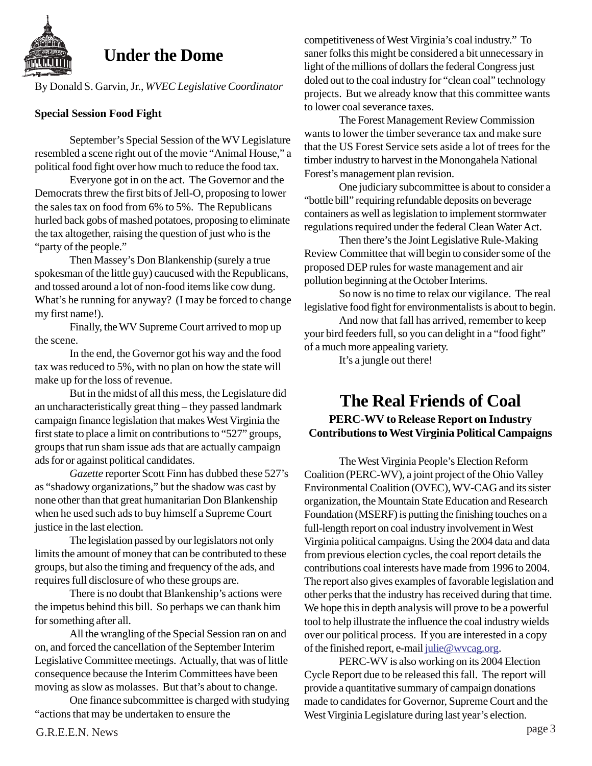

## **Under the Dome**

By Donald S. Garvin, Jr., *WVEC Legislative Coordinator*

## **Special Session Food Fight**

September's Special Session of the WV Legislature resembled a scene right out of the movie "Animal House," a political food fight over how much to reduce the food tax.

Everyone got in on the act. The Governor and the Democrats threw the first bits of Jell-O, proposing to lower the sales tax on food from 6% to 5%. The Republicans hurled back gobs of mashed potatoes, proposing to eliminate the tax altogether, raising the question of just who is the "party of the people."

Then Massey's Don Blankenship (surely a true spokesman of the little guy) caucused with the Republicans, and tossed around a lot of non-food items like cow dung. What's he running for anyway? (I may be forced to change my first name!).

Finally, the WV Supreme Court arrived to mop up the scene.

In the end, the Governor got his way and the food tax was reduced to 5%, with no plan on how the state will make up for the loss of revenue.

But in the midst of all this mess, the Legislature did an uncharacteristically great thing – they passed landmark campaign finance legislation that makes West Virginia the first state to place a limit on contributions to "527" groups, groups that run sham issue ads that are actually campaign ads for or against political candidates.

*Gazette* reporter Scott Finn has dubbed these 527's as "shadowy organizations," but the shadow was cast by none other than that great humanitarian Don Blankenship when he used such ads to buy himself a Supreme Court justice in the last election.

The legislation passed by our legislators not only limits the amount of money that can be contributed to these groups, but also the timing and frequency of the ads, and requires full disclosure of who these groups are.

There is no doubt that Blankenship's actions were the impetus behind this bill. So perhaps we can thank him for something after all.

All the wrangling of the Special Session ran on and on, and forced the cancellation of the September Interim Legislative Committee meetings. Actually, that was of little consequence because the Interim Committees have been moving as slow as molasses. But that's about to change.

One finance subcommittee is charged with studying "actions that may be undertaken to ensure the

competitiveness of West Virginia's coal industry." To saner folks this might be considered a bit unnecessary in light of the millions of dollars the federal Congress just doled out to the coal industry for "clean coal" technology projects. But we already know that this committee wants to lower coal severance taxes.

The Forest Management Review Commission wants to lower the timber severance tax and make sure that the US Forest Service sets aside a lot of trees for the timber industry to harvest in the Monongahela National Forest's management plan revision.

One judiciary subcommittee is about to consider a "bottle bill" requiring refundable deposits on beverage containers as well as legislation to implement stormwater regulations required under the federal Clean Water Act.

Then there's the Joint Legislative Rule-Making Review Committee that will begin to consider some of the proposed DEP rules for waste management and air pollution beginning at the October Interims.

So now is no time to relax our vigilance. The real legislative food fight for environmentalists is about to begin.

And now that fall has arrived, remember to keep your bird feeders full, so you can delight in a "food fight" of a much more appealing variety.

It's a jungle out there!

## **The Real Friends of Coal PERC-WV to Release Report on Industry Contributions to West Virginia Political Campaigns**

The West Virginia People's Election Reform Coalition (PERC-WV), a joint project of the Ohio Valley Environmental Coalition (OVEC), WV-CAG and its sister organization, the Mountain State Education and Research Foundation (MSERF) is putting the finishing touches on a full-length report on coal industry involvement in West Virginia political campaigns. Using the 2004 data and data from previous election cycles, the coal report details the contributions coal interests have made from 1996 to 2004. The report also gives examples of favorable legislation and other perks that the industry has received during that time. We hope this in depth analysis will prove to be a powerful tool to help illustrate the influence the coal industry wields over our political process. If you are interested in a copy of the finished report, e-mail julie@wvcag.org.

PERC-WV is also working on its 2004 Election Cycle Report due to be released this fall. The report will provide a quantitative summary of campaign donations made to candidates for Governor, Supreme Court and the West Virginia Legislature during last year's election.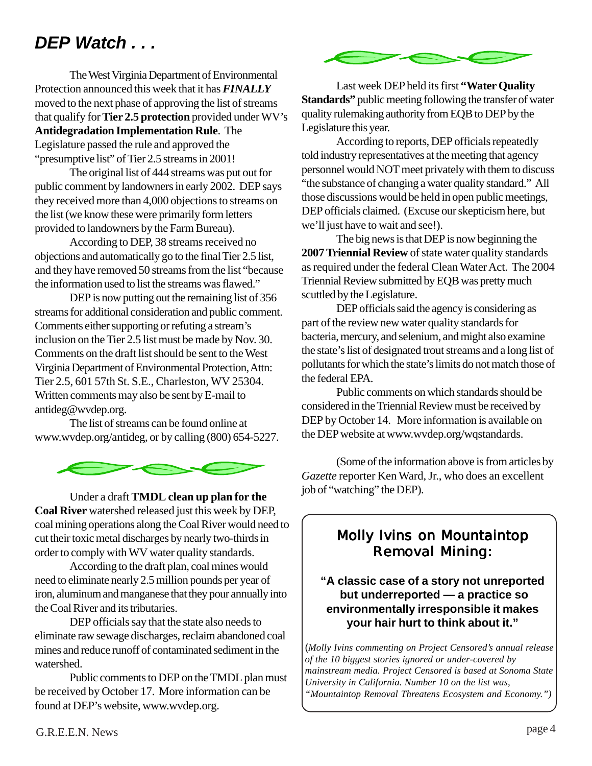# *DEP Watch . . .*

The West Virginia Department of Environmental Protection announced this week that it has *FINALLY* moved to the next phase of approving the list of streams that qualify for **Tier 2.5 protection** provided under WV's **Antidegradation Implementation Rule**. The Legislature passed the rule and approved the "presumptive list" of Tier 2.5 streams in 2001!

The original list of 444 streams was put out for public comment by landowners in early 2002. DEP says they received more than 4,000 objections to streams on the list (we know these were primarily form letters provided to landowners by the Farm Bureau).

According to DEP, 38 streams received no objections and automatically go to the final Tier 2.5 list, and they have removed 50 streams from the list "because the information used to list the streams was flawed."

DEP is now putting out the remaining list of 356 streams for additional consideration and public comment. Comments either supporting or refuting a stream's inclusion on the Tier 2.5 list must be made by Nov. 30. Comments on the draft list should be sent to the West Virginia Department of Environmental Protection, Attn: Tier 2.5, 601 57th St. S.E., Charleston, WV 25304. Written comments may also be sent by E-mail to antideg@wvdep.org.

The list of streams can be found online at www.wvdep.org/antideg, or by calling (800) 654-5227.



Under a draft **TMDL clean up plan for the Coal River** watershed released just this week by DEP, coal mining operations along the Coal River would need to cut their toxic metal discharges by nearly two-thirds in order to comply with WV water quality standards.

According to the draft plan, coal mines would need to eliminate nearly 2.5 million pounds per year of iron, aluminum and manganese that they pour annually into the Coal River and its tributaries.

DEP officials say that the state also needs to eliminate raw sewage discharges, reclaim abandoned coal mines and reduce runoff of contaminated sediment in the watershed.

Public comments to DEP on the TMDL plan must be received by October 17. More information can be found at DEP's website, www.wvdep.org.



Last week DEP held its first **"Water Quality Standards"** public meeting following the transfer of water quality rulemaking authority from EQB to DEP by the Legislature this year.

According to reports, DEP officials repeatedly told industry representatives at the meeting that agency personnel would NOT meet privately with them to discuss "the substance of changing a water quality standard." All those discussions would be held in open public meetings, DEP officials claimed. (Excuse our skepticism here, but we'll just have to wait and see!).

The big news is that DEP is now beginning the **2007 Triennial Review** of state water quality standards as required under the federal Clean Water Act. The 2004 Triennial Review submitted by EQB was pretty much scuttled by the Legislature.

DEP officials said the agency is considering as part of the review new water quality standards for bacteria, mercury, and selenium, and might also examine the state's list of designated trout streams and a long list of pollutants for which the state's limits do not match those of the federal EPA.

Public comments on which standards should be considered in the Triennial Review must be received by DEP by October 14. More information is available on the DEP website at www.wvdep.org/wqstandards.

(Some of the information above is from articles by *Gazette* reporter Ken Ward, Jr., who does an excellent job of "watching" the DEP).

## **Molly Ivins on Mountaintop Removal Mining:**

## **"A classic case of a story not unreported but underreported — a practice so environmentally irresponsible it makes your hair hurt to think about it."**

(*Molly Ivins commenting on Project Censored's annual release of the 10 biggest stories ignored or under-covered by mainstream media. Project Censored is based at Sonoma State University in California. Number 10 on the list was, "Mountaintop Removal Threatens Ecosystem and Economy.")*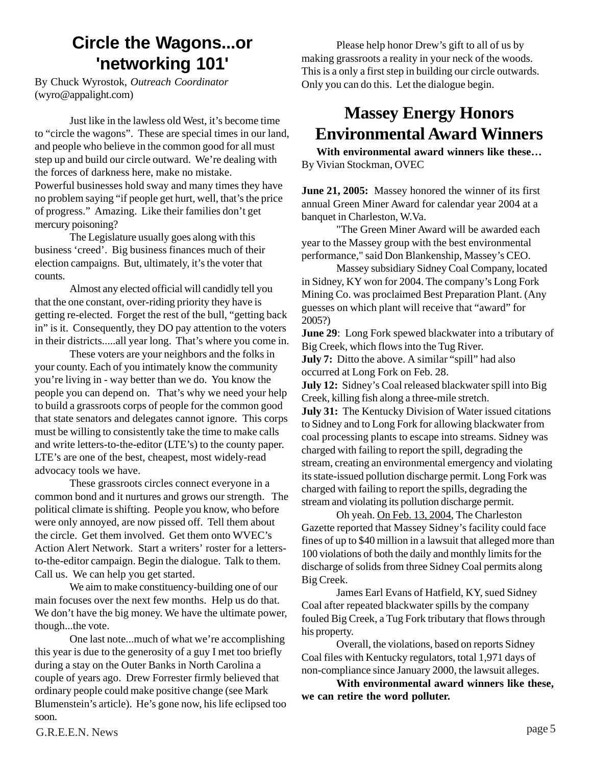# **Circle the Wagons...or 'networking 101'**

By Chuck Wyrostok, *Outreach Coordinator* (wyro@appalight.com)

Just like in the lawless old West, it's become time to "circle the wagons". These are special times in our land, and people who believe in the common good for all must step up and build our circle outward. We're dealing with the forces of darkness here, make no mistake. Powerful businesses hold sway and many times they have no problem saying "if people get hurt, well, that's the price of progress." Amazing. Like their families don't get mercury poisoning?

The Legislature usually goes along with this business 'creed'. Big business finances much of their election campaigns. But, ultimately, it's the voter that counts.

Almost any elected official will candidly tell you that the one constant, over-riding priority they have is getting re-elected. Forget the rest of the bull, "getting back in" is it. Consequently, they DO pay attention to the voters in their districts.....all year long. That's where you come in.

These voters are your neighbors and the folks in your county. Each of you intimately know the community you're living in - way better than we do. You know the people you can depend on. That's why we need your help to build a grassroots corps of people for the common good that state senators and delegates cannot ignore. This corps must be willing to consistently take the time to make calls and write letters-to-the-editor (LTE's) to the county paper. LTE's are one of the best, cheapest, most widely-read advocacy tools we have.

These grassroots circles connect everyone in a common bond and it nurtures and grows our strength. The political climate is shifting. People you know, who before were only annoyed, are now pissed off. Tell them about the circle. Get them involved. Get them onto WVEC's Action Alert Network. Start a writers' roster for a lettersto-the-editor campaign. Begin the dialogue. Talk to them. Call us. We can help you get started.

We aim to make constituency-building one of our main focuses over the next few months. Help us do that. We don't have the big money. We have the ultimate power, though...the vote.

One last note...much of what we're accomplishing this year is due to the generosity of a guy I met too briefly during a stay on the Outer Banks in North Carolina a couple of years ago. Drew Forrester firmly believed that ordinary people could make positive change (see Mark Blumenstein's article). He's gone now, his life eclipsed too soon.

Please help honor Drew's gift to all of us by making grassroots a reality in your neck of the woods. This is a only a first step in building our circle outwards. Only you can do this. Let the dialogue begin.

# **Massey Energy Honors Environmental Award Winners**

**With environmental award winners like these…** By Vivian Stockman, OVEC

**June 21, 2005:** Massey honored the winner of its first annual Green Miner Award for calendar year 2004 at a banquet in Charleston, W.Va.

"The Green Miner Award will be awarded each year to the Massey group with the best environmental performance," said Don Blankenship, Massey's CEO.

Massey subsidiary Sidney Coal Company, located in Sidney, KY won for 2004. The company's Long Fork Mining Co. was proclaimed Best Preparation Plant. (Any guesses on which plant will receive that "award" for 2005?)

**June 29:** Long Fork spewed blackwater into a tributary of Big Creek, which flows into the Tug River.

**July 7:** Ditto the above. A similar "spill" had also occurred at Long Fork on Feb. 28.

**July 12:** Sidney's Coal released blackwater spill into Big Creek, killing fish along a three-mile stretch.

**July 31:** The Kentucky Division of Water issued citations to Sidney and to Long Fork for allowing blackwater from coal processing plants to escape into streams. Sidney was charged with failing to report the spill, degrading the stream, creating an environmental emergency and violating its state-issued pollution discharge permit. Long Fork was charged with failing to report the spills, degrading the stream and violating its pollution discharge permit.

Oh yeah. On Feb. 13, 2004, The Charleston Gazette reported that Massey Sidney's facility could face fines of up to \$40 million in a lawsuit that alleged more than 100 violations of both the daily and monthly limits for the discharge of solids from three Sidney Coal permits along Big Creek.

James Earl Evans of Hatfield, KY, sued Sidney Coal after repeated blackwater spills by the company fouled Big Creek, a Tug Fork tributary that flows through his property.

Overall, the violations, based on reports Sidney Coal files with Kentucky regulators, total 1,971 days of non-compliance since January 2000, the lawsuit alleges.

**With environmental award winners like these, we can retire the word polluter.**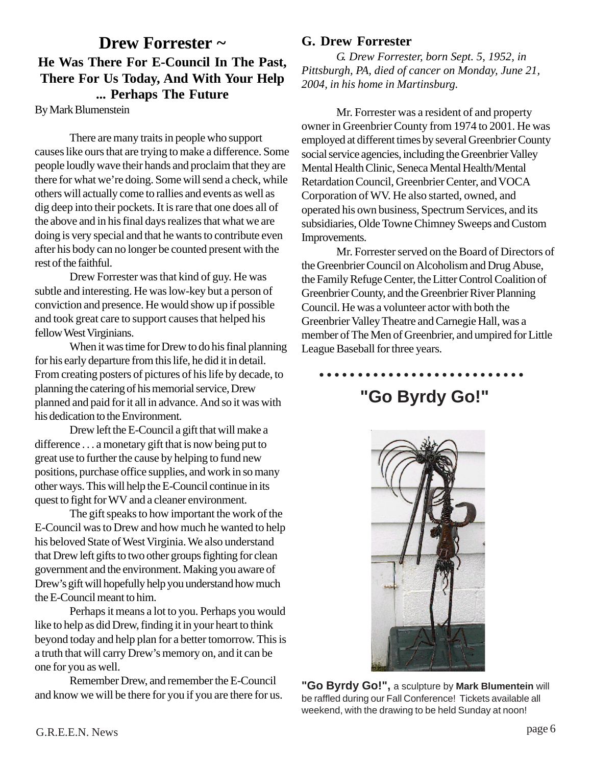## **Drew Forrester ~ He Was There For E-Council In The Past, There For Us Today, And With Your Help ... Perhaps The Future**

By Mark Blumenstein

There are many traits in people who support causes like ours that are trying to make a difference. Some people loudly wave their hands and proclaim that they are there for what we're doing. Some will send a check, while others will actually come to rallies and events as well as dig deep into their pockets. It is rare that one does all of the above and in his final days realizes that what we are doing is very special and that he wants to contribute even after his body can no longer be counted present with the rest of the faithful.

Drew Forrester was that kind of guy. He was subtle and interesting. He was low-key but a person of conviction and presence. He would show up if possible and took great care to support causes that helped his fellow West Virginians.

When it was time for Drew to do his final planning for his early departure from this life, he did it in detail. From creating posters of pictures of his life by decade, to planning the catering of his memorial service, Drew planned and paid for it all in advance. And so it was with his dedication to the Environment.

Drew left the E-Council a gift that will make a difference . . . a monetary gift that is now being put to great use to further the cause by helping to fund new positions, purchase office supplies, and work in so many other ways. This will help the E-Council continue in its quest to fight for WV and a cleaner environment.

The gift speaks to how important the work of the E-Council was to Drew and how much he wanted to help his beloved State of West Virginia. We also understand that Drew left gifts to two other groups fighting for clean government and the environment. Making you aware of Drew's gift will hopefully help you understand how much the E-Council meant to him.

Perhaps it means a lot to you. Perhaps you would like to help as did Drew, finding it in your heart to think beyond today and help plan for a better tomorrow. This is a truth that will carry Drew's memory on, and it can be one for you as well.

Remember Drew, and remember the E-Council and know we will be there for you if you are there for us.

## **G. Drew Forrester**

*G. Drew Forrester, born Sept. 5, 1952, in Pittsburgh, PA, died of cancer on Monday, June 21, 2004, in his home in Martinsburg.*

Mr. Forrester was a resident of and property owner in Greenbrier County from 1974 to 2001. He was employed at different times by several Greenbrier County social service agencies, including the Greenbrier Valley Mental Health Clinic, Seneca Mental Health/Mental Retardation Council, Greenbrier Center, and VOCA Corporation of WV. He also started, owned, and operated his own business, Spectrum Services, and its subsidiaries, Olde Towne Chimney Sweeps and Custom Improvements.

Mr. Forrester served on the Board of Directors of the Greenbrier Council on Alcoholism and Drug Abuse, the Family Refuge Center, the Litter Control Coalition of Greenbrier County, and the Greenbrier River Planning Council. He was a volunteer actor with both the Greenbrier Valley Theatre and Carnegie Hall, was a member of The Men of Greenbrier, and umpired for Little League Baseball for three years.

**"Go Byrdy Go!"** ○○○○○ ○○○○○○○○○○○○○○○○○○○○○○



**"Go Byrdy Go!",** a sculpture by **Mark Blumentein** will be raffled during our Fall Conference! Tickets available all weekend, with the drawing to be held Sunday at noon!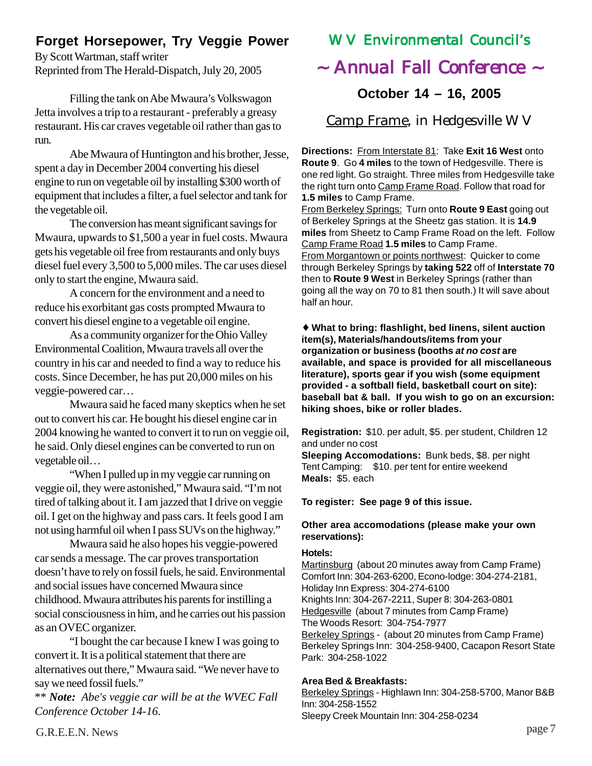## **Forget Horsepower, Try Veggie Power**

By Scott Wartman, staff writer Reprinted from The Herald-Dispatch, July 20, 2005

Filling the tank on Abe Mwaura's Volkswagon Jetta involves a trip to a restaurant - preferably a greasy restaurant. His car craves vegetable oil rather than gas to run.

Abe Mwaura of Huntington and his brother, Jesse, spent a day in December 2004 converting his diesel engine to run on vegetable oil by installing \$300 worth of equipment that includes a filter, a fuel selector and tank for the vegetable oil.

The conversion has meant significant savings for Mwaura, upwards to \$1,500 a year in fuel costs. Mwaura gets his vegetable oil free from restaurants and only buys diesel fuel every 3,500 to 5,000 miles. The car uses diesel only to start the engine, Mwaura said.

A concern for the environment and a need to reduce his exorbitant gas costs prompted Mwaura to convert his diesel engine to a vegetable oil engine.

As a community organizer for the Ohio Valley Environmental Coalition, Mwaura travels all over the country in his car and needed to find a way to reduce his costs. Since December, he has put 20,000 miles on his veggie-powered car…

Mwaura said he faced many skeptics when he set out to convert his car. He bought his diesel engine car in 2004 knowing he wanted to convert it to run on veggie oil, he said. Only diesel engines can be converted to run on vegetable oil…

"When I pulled up in my veggie car running on veggie oil, they were astonished," Mwaura said. "I'm not tired of talking about it. I am jazzed that I drive on veggie oil. I get on the highway and pass cars. It feels good I am not using harmful oil when I pass SUVs on the highway."

Mwaura said he also hopes his veggie-powered car sends a message. The car proves transportation doesn't have to rely on fossil fuels, he said. Environmental and social issues have concerned Mwaura since childhood. Mwaura attributes his parents for instilling a social consciousness in him, and he carries out his passion as an OVEC organizer.

"I bought the car because I knew I was going to convert it. It is a political statement that there are alternatives out there," Mwaura said. "We never have to say we need fossil fuels."

\*\* *Note: Abe's veggie car will be at the WVEC Fall Conference October 14-16.*

## WV Environmental Council's

## $\sim$  Annual Fall Conference  $\sim$

**October 14 – 16, 2005**

Camp Frame, in Hedgesville WV

**Directions:** From Interstate 81: Take **Exit 16 West** onto **Route 9**. Go **4 miles** to the town of Hedgesville. There is one red light. Go straight. Three miles from Hedgesville take the right turn onto Camp Frame Road. Follow that road for **1.5 miles** to Camp Frame.

From Berkeley Springs: Turn onto **Route 9 East** going out of Berkeley Springs at the Sheetz gas station. It is **14.9 miles** from Sheetz to Camp Frame Road on the left. Follow Camp Frame Road **1.5 miles** to Camp Frame. From Morgantown or points northwest: Quicker to come through Berkeley Springs by **taking 522** off of **Interstate 70** then to **Route 9 West** in Berkeley Springs (rather than going all the way on 70 to 81 then south.) It will save about half an hour.

♦ **What to bring: flashlight, bed linens, silent auction item(s), Materials/handouts/items from your organization or business (booths** *at no cost* **are available, and space is provided for all miscellaneous literature), sports gear if you wish (some equipment provided - a softball field, basketball court on site): baseball bat & ball. If you wish to go on an excursion: hiking shoes, bike or roller blades.**

**Registration:** \$10. per adult, \$5. per student, Children 12 and under no cost

**Sleeping Accomodations:** Bunk beds, \$8. per night Tent Camping: \$10. per tent for entire weekend **Meals:** \$5. each

## **To register: See page 9 of this issue.**

## **Other area accomodations (please make your own reservations):**

#### **Hotels:**

Martinsburg (about 20 minutes away from Camp Frame) Comfort Inn: 304-263-6200, Econo-lodge: 304-274-2181, Holiday Inn Express: 304-274-6100 Knights Inn: 304-267-2211, Super 8: 304-263-0801 Hedgesville (about 7 minutes from Camp Frame) The Woods Resort: 304-754-7977 Berkeley Springs - (about 20 minutes from Camp Frame) Berkeley Springs Inn: 304-258-9400, Cacapon Resort State Park: 304-258-1022

## **Area Bed & Breakfasts:**

Berkeley Springs - Highlawn Inn: 304-258-5700, Manor B&B Inn: 304-258-1552 Sleepy Creek Mountain Inn: 304-258-0234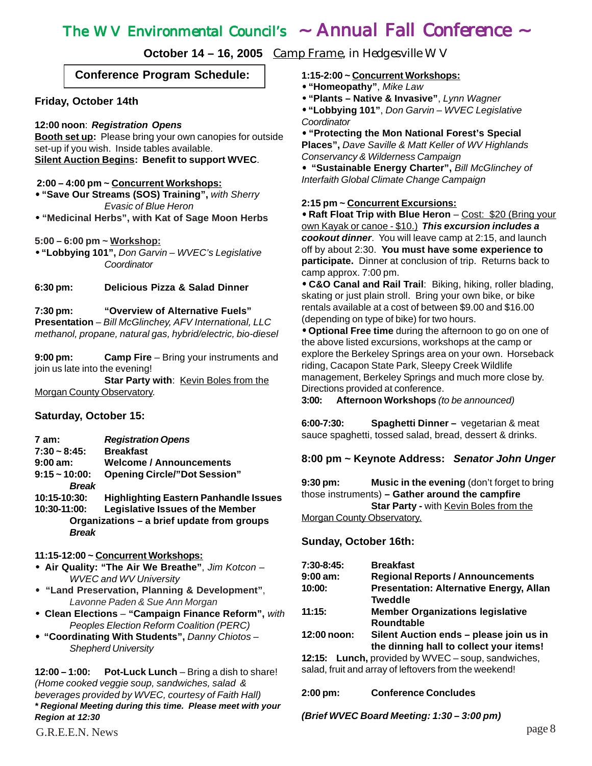## The WV Environmental Council's ~ Annual Fall Conference ~

**October 14 – 16, 2005** Camp Frame, in Hedgesville WV

## **Conference Program Schedule:**

#### **Friday, October 14th**

#### **12:00 noon**: *Registration Opens*

**Booth set up:** Please bring your own canopies for outside set-up if you wish. Inside tables available. **Silent Auction Begins: Benefit to support WVEC**.

#### **2:00 – 4:00 pm ~ Concurrent Workshops:**

• **"Save Our Streams (SOS) Training",** *with Sherry Evasic of Blue Heron*

• **"Medicinal Herbs", with Kat of Sage Moon Herbs**

**5:00 – 6:00 pm ~ Workshop:**

• **"Lobbying 101",** *Don Garvin – WVEC's Legislative Coordinator*

**6:30 pm: Delicious Pizza & Salad Dinner**

**7:30 pm: "Overview of Alternative Fuels" Presentation** – *Bill McGlinchey, AFV International, LLC methanol, propane, natural gas, hybrid/electric, bio-diesel*

**9:00 pm: Camp Fire** – Bring your instruments and join us late into the evening!

**Star Party with**: Kevin Boles from the Morgan County Observatory.

#### **Saturday, October 15:**

| 7 am:              | <b>Registration Opens</b>                    |  |
|--------------------|----------------------------------------------|--|
| $7:30 - 8:45$ :    | <b>Breakfast</b>                             |  |
| $9:00 \text{ am}:$ | <b>Welcome / Announcements</b>               |  |
| $9:15 - 10:00$ :   | <b>Opening Circle/"Dot Session"</b>          |  |
| <b>Break</b>       |                                              |  |
| 10:15-10:30:       | <b>Highlighting Eastern Panhandle Issues</b> |  |
| 10:30-11:00:       | <b>Legislative Issues of the Member</b>      |  |
|                    | Organizations - a brief update from groups   |  |
| <b>Break</b>       |                                              |  |

#### **11:15-12:00 ~ Concurrent Workshops:**

- **Air Quality: "The Air We Breathe"**, *Jim Kotcon – WVEC and WV University*
- • **"Land Preservation, Planning & Development"**, *Lavonne Paden & Sue Ann Morgan*
- • **Clean Elections "Campaign Finance Reform",** *with Peoples Election Reform Coalition (PERC)*
- • **"Coordinating With Students",** *Danny Chiotos – Shepherd University*

**12:00 – 1:00: Pot-Luck Lunch** – Bring a dish to share! *(Home cooked veggie soup, sandwiches, salad & beverages provided by WVEC, courtesy of Faith Hall) \* Regional Meeting during this time. Please meet with your Region at 12:30*

**1:15-2:00 ~ Concurrent Workshops:**

- • **"Homeopathy"**, *Mike Law*
- • **"Plants Native & Invasive"**, *Lynn Wagner*
- • **"Lobbying 101"**, *Don Garvin WVEC Legislative Coordinator*

• **"Protecting the Mon National Forest's Special Places",** *Dave Saville & Matt Keller of WV Highlands Conservancy & Wilderness Campaign*

• **"Sustainable Energy Charter",** *Bill McGlinchey of Interfaith Global Climate Change Campaign*

#### **2:15 pm ~ Concurrent Excursions:**

• **Raft Float Trip with Blue Heron** – Cost: \$20 (Bring your own Kayak or canoe - \$10.) *This excursion includes a cookout dinner*. You will leave camp at 2:15, and launch off by about 2:30. **You must have some experience to participate.** Dinner at conclusion of trip. Returns back to camp approx. 7:00 pm.

• **C&O Canal and Rail Trail**: Biking, hiking, roller blading, skating or just plain stroll. Bring your own bike, or bike rentals available at a cost of between \$9.00 and \$16.00 (depending on type of bike) for two hours.

• **Optional Free time** during the afternoon to go on one of the above listed excursions, workshops at the camp or explore the Berkeley Springs area on your own. Horseback riding, Cacapon State Park, Sleepy Creek Wildlife management, Berkeley Springs and much more close by. Directions provided at conference.

**3:00: Afternoon Workshops** *(to be announced)*

**6:00-7:30: Spaghetti Dinner –** vegetarian & meat sauce spaghetti, tossed salad, bread, dessert & drinks.

## **8:00 pm ~ Keynote Address:** *Senator John Unger*

**9:30 pm: Music in the evening** (don't forget to bring those instruments) **– Gather around the campfire Star Party - with Kevin Boles from the** Morgan County Observatory.

#### **Sunday, October 16th:**

| $7:30-8:45$ : | <b>Breakfast</b>                                         |  |  |
|---------------|----------------------------------------------------------|--|--|
| $9:00$ am:    | <b>Regional Reports / Announcements</b>                  |  |  |
| 10:00:        | <b>Presentation: Alternative Energy, Allan</b>           |  |  |
|               | <b>Tweddle</b>                                           |  |  |
| 11:15:        | <b>Member Organizations legislative</b>                  |  |  |
|               | <b>Roundtable</b>                                        |  |  |
| 12:00 noon:   | Silent Auction ends - please join us in                  |  |  |
|               | the dinning hall to collect your items!                  |  |  |
|               | 12.15. <b>Lunch</b> provided by $M/FC =$ soun sandwiches |  |  |

**12:15: Lunch,** provided by WVEC – soup, sandwiches, salad, fruit and array of leftovers from the weekend!

#### **2:00 pm: Conference Concludes**

#### *(Brief WVEC Board Meeting: 1:30 – 3:00 pm)*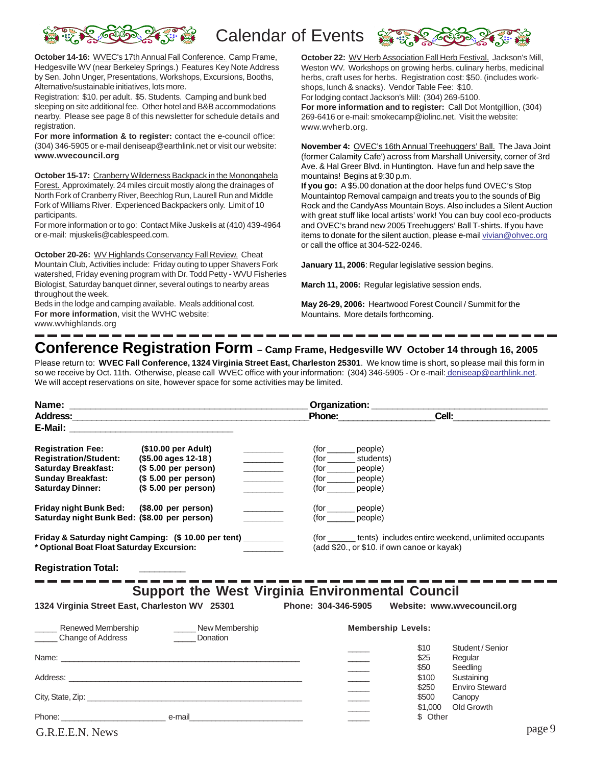

**October 14-16:** WVEC's 17th Annual Fall Conference. Camp Frame, Hedgesville WV (near Berkeley Springs.) Features Key Note Address by Sen. John Unger, Presentations, Workshops, Excursions, Booths, Alternative/sustainable initiatives, lots more.

Registration: \$10. per adult. \$5. Students. Camping and bunk bed sleeping on site additional fee. Other hotel and B&B accommodations nearby. Please see page 8 of this newsletter for schedule details and registration.

**For more information & to register:** contact the e-council office: (304) 346-5905 or e-mail deniseap@earthlink.net or visit our website: **www.wvecouncil.org**

**October 15-17:** Cranberry Wilderness Backpack in the Monongahela Forest. Approximately. 24 miles circuit mostly along the drainages of North Fork of Cranberry River, Beechlog Run, Laurell Run and Middle Fork of Williams River. Experienced Backpackers only. Limit of 10 participants.

For more information or to go: Contact Mike Juskelis at (410) 439-4964 or e-mail: mjuskelis@cablespeed.com.

**October 20-26:** WV Highlands Conservancy Fall Review. Cheat Mountain Club, Activities include: Friday outing to upper Shavers Fork watershed, Friday evening program with Dr. Todd Petty - WVU Fisheries Biologist, Saturday banquet dinner, several outings to nearby areas throughout the week.

Beds in the lodge and camping available. Meals additional cost. **For more information**, visit the WVHC website:

www.wvhighlands.org

October 22: WV Herb Association Fall Herb Festival. Jackson's Mill, Weston WV. Workshops on growing herbs, culinary herbs, medicinal herbs, craft uses for herbs. Registration cost: \$50. (includes workshops, lunch & snacks). Vendor Table Fee: \$10.

For lodging contact Jackson's Mill: (304) 269-5100.

**For more information and to register:** Call Dot Montgillion, (304) 269-6416 or e-mail: smokecamp@iolinc.net. Visit the website: www.wvherb.org.

**November 4:** OVEC's 16th Annual Treehuggers' Ball. The Java Joint (former Calamity Cafe') across from Marshall University, corner of 3rd Ave. & Hal Greer Blvd. in Huntington. Have fun and help save the mountains! Begins at 9:30 p.m.

**If you go:** A \$5.00 donation at the door helps fund OVEC's Stop Mountaintop Removal campaign and treats you to the sounds of Big Rock and the CandyAss Mountain Boys. Also includes a Silent Auction with great stuff like local artists' work! You can buy cool eco-products and OVEC's brand new 2005 Treehuggers' Ball T-shirts. If you have items to donate for the silent auction, please e-mail vivian@ohvec.org or call the office at 304-522-0246.

**January 11, 2006**: Regular legislative session begins.

**March 11, 2006:** Regular legislative session ends.

**May 26-29, 2006:** Heartwood Forest Council / Summit for the Mountains. More details forthcoming.

# **Conference Registration Form – Camp Frame, Hedgesville WV October 14 through 16, 2005**

Please return to: **WVEC Fall Conference, 1324 Virginia Street East, Charleston 25301**. We know time is short, so please mail this form in so we receive by Oct. 11th. Otherwise, please call WVEC office with your information: (304) 346-5905 - Or e-mail: deniseap@earthlink.net. We will accept reservations on site, however space for some activities may be limited.

|                                                                                                                                               |                                                                                                                                                                                                                                                                                                                                                                           | Phone: 2000                                                                                                                    |                                                                                                                  | <b>Cell:</b> <u>__________________</u>                                         |        |
|-----------------------------------------------------------------------------------------------------------------------------------------------|---------------------------------------------------------------------------------------------------------------------------------------------------------------------------------------------------------------------------------------------------------------------------------------------------------------------------------------------------------------------------|--------------------------------------------------------------------------------------------------------------------------------|------------------------------------------------------------------------------------------------------------------|--------------------------------------------------------------------------------|--------|
|                                                                                                                                               |                                                                                                                                                                                                                                                                                                                                                                           |                                                                                                                                |                                                                                                                  |                                                                                |        |
| <b>Registration Fee:</b><br><b>Registration/Student:</b><br><b>Saturday Breakfast:</b><br><b>Sunday Breakfast:</b><br><b>Saturday Dinner:</b> | (\$10.00 per Adult)<br>(\$5.00 ages 12-18)<br>(\$ 5.00 per person)<br>$\mathcal{L}^{\text{max}}_{\text{max}}$ , where $\mathcal{L}^{\text{max}}_{\text{max}}$<br>(\$ 5.00 per person)<br><u> 1999 - Johann Barnett, f</u><br>(S 5.00 per person)<br>$\mathcal{L}^{\mathcal{L}}(\mathcal{L}^{\mathcal{L}})$ , where $\mathcal{L}^{\mathcal{L}}(\mathcal{L}^{\mathcal{L}})$ | $(for ___________ people)$<br>(for ________ students)<br>(for ________ people)<br>(for _______ people)<br>(for _______ people) |                                                                                                                  |                                                                                |        |
| Friday night Bunk Bed: (\$8.00 per person)<br>Saturday night Bunk Bed: (\$8.00 per person)                                                    | <u> Alexandria de la p</u>                                                                                                                                                                                                                                                                                                                                                | (for _______ people)<br>(for ________ people)                                                                                  |                                                                                                                  |                                                                                |        |
| * Optional Boat Float Saturday Excursion:                                                                                                     | Friday & Saturday night Camping: (\$ 10.00 per tent) ________                                                                                                                                                                                                                                                                                                             |                                                                                                                                | (for ________ tents) includes entire weekend, unlimited occupants<br>(add \$20., or \$10. if own canoe or kayak) |                                                                                |        |
| <b>Registration Total:</b>                                                                                                                    |                                                                                                                                                                                                                                                                                                                                                                           |                                                                                                                                |                                                                                                                  |                                                                                |        |
|                                                                                                                                               |                                                                                                                                                                                                                                                                                                                                                                           |                                                                                                                                |                                                                                                                  |                                                                                |        |
| 1324 Virginia Street East, Charleston WV 25301                                                                                                | <b>Support the West Virginia Environmental Council</b>                                                                                                                                                                                                                                                                                                                    | Phone: 304-346-5905  Website: www.wvecouncil.org                                                                               |                                                                                                                  |                                                                                |        |
| Renewed Membership<br>Change of Address                                                                                                       | New Membership<br>Donation                                                                                                                                                                                                                                                                                                                                                |                                                                                                                                | <b>Membership Levels:</b>                                                                                        |                                                                                |        |
|                                                                                                                                               |                                                                                                                                                                                                                                                                                                                                                                           | $\overline{\phantom{a}}$<br>$\overline{\phantom{a}}$                                                                           | \$10<br>\$25<br>\$50<br>\$100<br>\$250                                                                           | Student / Senior<br>Regular<br>Seedling<br>Sustaining<br><b>Enviro Steward</b> |        |
|                                                                                                                                               |                                                                                                                                                                                                                                                                                                                                                                           | $\frac{1}{\sqrt{1-\frac{1}{2}}\left( \frac{1}{\sqrt{1-\frac{1}{2}}}\right) }$                                                  | \$500<br>\$1,000<br>\$ Other                                                                                     | Canopy<br>Old Growth                                                           |        |
|                                                                                                                                               |                                                                                                                                                                                                                                                                                                                                                                           |                                                                                                                                |                                                                                                                  |                                                                                | page 9 |
| G.R.E.E.N. News                                                                                                                               |                                                                                                                                                                                                                                                                                                                                                                           |                                                                                                                                |                                                                                                                  |                                                                                |        |